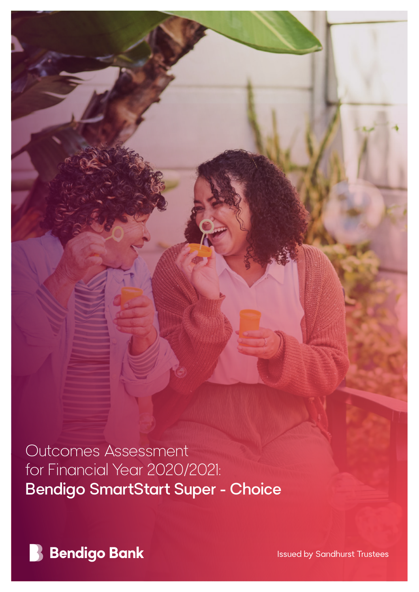Outcomes Assessment for Financial Year 2020/2021: Bendigo SmartStart Super - Choice



Issued by Sandhurst Trustees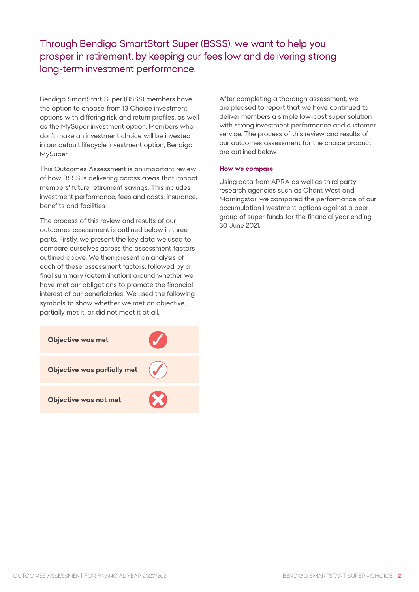Through Bendigo SmartStart Super (BSSS), we want to help you prosper in retirement, by keeping our fees low and delivering strong long-term investment performance.

Bendigo SmartStart Super (BSSS) members have the option to choose from 13 Choice investment options with differing risk and return profiles, as well as the MySuper investment option. Members who don't make an investment choice will be invested in our default lifecycle investment option, Bendigo MySuper.

This Outcomes Assessment is an important review of how BSSS is delivering across areas that impact members' future retirement savings. This includes investment performance, fees and costs, insurance, benefits and facilities.

The process of this review and results of our outcomes assessment is outlined below in three parts. Firstly, we present the key data we used to compare ourselves across the assessment factors outlined above. We then present an analysis of each of these assessment factors, followed by a final summary (determination) around whether we have met our obligations to promote the financial interest of our beneficiaries. We used the following symbols to show whether we met an objective, partially met it, or did not meet it at all.



After completing a thorough assessment, we are pleased to report that we have continued to deliver members a simple low-cost super solution with strong investment performance and customer service. The process of this review and results of our outcomes assessment for the choice product are outlined below.

#### **How we compare**

Using data from APRA as well as third party research agencies such as Chant West and Morningstar, we compared the performance of our accumulation investment options against a peer group of super funds for the financial year ending 30 June 2021.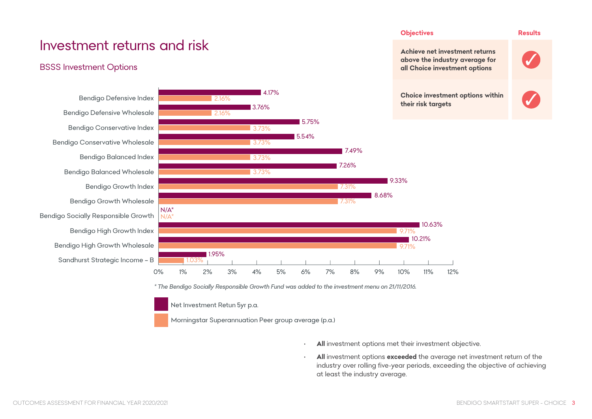# Investment returns and risk

#### BSSS Investment Options

Sandhurst Strategic Income – B Bendigo High Growth Wholesale Bendigo High Growth Index Bendigo Socially Responsible Growth Bendigo Growth Wholesale Bendigo Growth Index Bendigo Balanced Wholesale Bendigo Balanced Index Bendigo Conservative Wholesale Bendigo Conservative Index Bendigo Defensive Wholesale Bendigo Defensive Index



*\* The Bendigo Socially Responsible Growth Fund was added to the investment menu on 21/11/2016.*

Net Investment Retun 5yr p.a.

Morningstar Superannuation Peer group average (p.a.)

- **• All** investment options met their investment objective.
- **• All** investment options **exceeded** the average net investment return of the industry over rolling five-year periods, exceeding the objective of achieving at least the industry average.

**Objectives Results** 

**Achieve net investment returns above the industry average for all Choice investment options**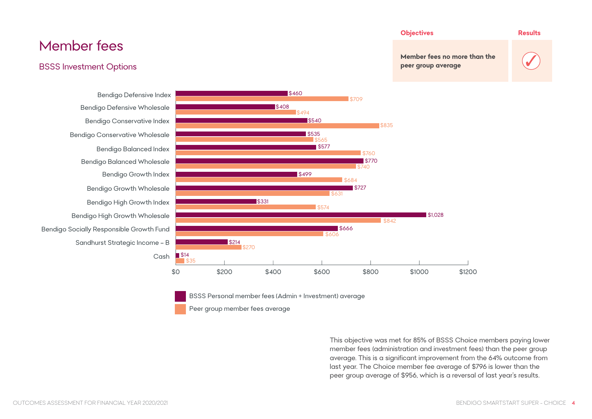# **Objectives Results Member fees no more than the**

# Member fees

#### BSSS Investment Options **peer group average**

Cash Sandhurst Strategic Income – B Bendigo Socially Responsible Growth Fund Bendigo High Growth Wholesale Bendigo High Growth Index Bendigo Growth Wholesale Bendigo Growth Index Bendigo Balanced Wholesale Bendigo Balanced Index Bendigo Conservative Wholesale Bendigo Conservative Index Bendigo Defensive Wholesale





Peer group member fees average

This objective was met for 85% of BSSS Choice members paying lower member fees (administration and investment fees) than the peer group average. This is a significant improvement from the 64% outcome from last year. The Choice member fee average of \$796 is lower than the peer group average of \$956, which is a reversal of last year's results.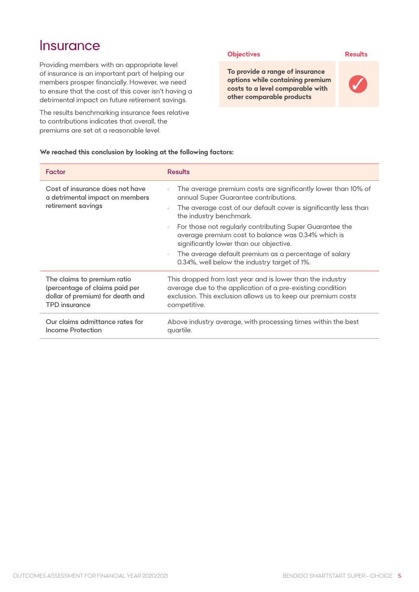### **Insurance**

Providing members with an appropriate level of insurance is an important part of helping our members prosper financially. However, we need to ensure that the cost of this cover isn't having a detrimental impact on future retirement savings.

The results benchmarking insurance fees relative to contributions indicates that overall, the premiums are set at a reasonable level.

#### **Objectives Results**

**To provide a range of insurance options while containing premium costs to a level comparable with other comparable products**



#### **We reached this conclusion by looking at the following factors:**

| <b>Factor</b>                                                                            | Results                                                                                                                                                                                                                                                                                                                                                                                                                                                                                                                              |
|------------------------------------------------------------------------------------------|--------------------------------------------------------------------------------------------------------------------------------------------------------------------------------------------------------------------------------------------------------------------------------------------------------------------------------------------------------------------------------------------------------------------------------------------------------------------------------------------------------------------------------------|
| Cost of insurance does not have<br>a detrimental impact on members<br>retirement savings | The average premium costs are significantly lower than 10% of<br>$\bullet$<br>annual Super Guarantee contributions.<br>The average cost of our default cover is significantly less than<br>$\blacksquare$<br>the industry benchmark.<br>For those not regularly contributing Super Guarantee the<br>$\bullet$<br>average premium cost to balance was 0.34% which is<br>significantly lower than our objective.<br>The average default premium as a percentage of salary<br>$\bullet$<br>0.34%, well below the industry target of 1%. |
| The claims to premium ratio                                                              | This dropped from last year and is lower than the industry                                                                                                                                                                                                                                                                                                                                                                                                                                                                           |
| (percentage of claims paid per                                                           | average due to the application of a pre-existing condition                                                                                                                                                                                                                                                                                                                                                                                                                                                                           |
| dollar of premium) for death and                                                         | exclusion. This exclusion allows us to keep our premium costs                                                                                                                                                                                                                                                                                                                                                                                                                                                                        |
| <b>TPD</b> insurance                                                                     | competitive.                                                                                                                                                                                                                                                                                                                                                                                                                                                                                                                         |
| Our claims admittance rates for                                                          | Above industry average, with processing times within the best                                                                                                                                                                                                                                                                                                                                                                                                                                                                        |
| Income Protection                                                                        | quartile.                                                                                                                                                                                                                                                                                                                                                                                                                                                                                                                            |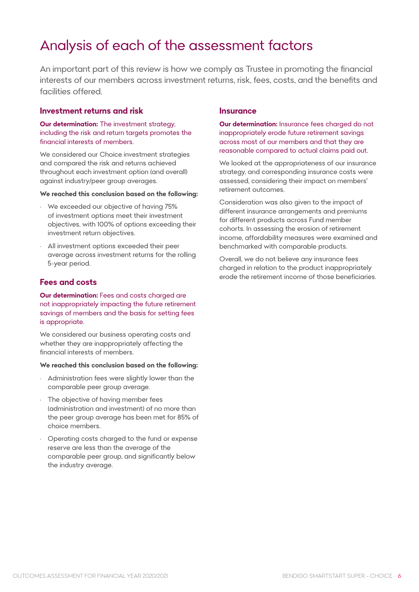# Analysis of each of the assessment factors

An important part of this review is how we comply as Trustee in promoting the financial interests of our members across investment returns, risk, fees, costs, and the benefits and facilities offered.

#### **Investment returns and risk**

#### **Our determination:** The investment strategy, including the risk and return targets promotes the financial interests of members.

We considered our Choice investment strategies and compared the risk and returns achieved throughout each investment option (and overall) against industry/peer group averages.

#### **We reached this conclusion based on the following:**

- We exceeded our objective of having 75% of investment options meet their investment objectives, with 100% of options exceeding their investment return objectives.
- All investment options exceeded their peer average across investment returns for the rolling 5-year period.

#### **Fees and costs**

**Our determination:** Fees and costs charged are not inappropriately impacting the future retirement savings of members and the basis for setting fees is appropriate.

We considered our business operating costs and whether they are inappropriately affecting the financial interests of members.

#### **We reached this conclusion based on the following:**

- Administration fees were slightly lower than the comparable peer group average.
- The objective of having member fees (administration and investment) of no more than the peer group average has been met for 85% of choice members.
- Operating costs charged to the fund or expense reserve are less than the average of the comparable peer group, and significantly below the industry average.

#### **Insurance**

#### **Our determination:** Insurance fees charged do not inappropriately erode future retirement savings across most of our members and that they are reasonable compared to actual claims paid out.

We looked at the appropriateness of our insurance strategy, and corresponding insurance costs were assessed, considering their impact on members' retirement outcomes.

Consideration was also given to the impact of different insurance arrangements and premiums for different products across Fund member cohorts. In assessing the erosion of retirement income, affordability measures were examined and benchmarked with comparable products.

Overall, we do not believe any insurance fees charged in relation to the product inappropriately erode the retirement income of those beneficiaries.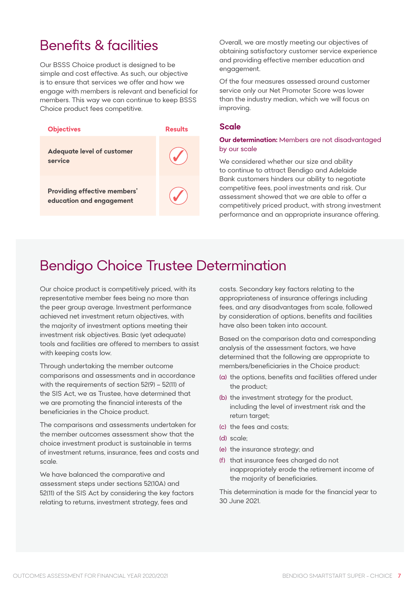# Benefits & facilities

Our BSSS Choice product is designed to be simple and cost effective. As such, our objective is to ensure that services we offer and how we engage with members is relevant and beneficial for members. This way we can continue to keep BSSS Choice product fees competitive.



Overall, we are mostly meeting our objectives of obtaining satisfactory customer service experience and providing effective member education and engagement.

Of the four measures assessed around customer service only our Net Promoter Score was lower than the industry median, which we will focus on improving.

#### **Scale**

#### **Our determination:** Members are not disadvantaged by our scale

We considered whether our size and ability to continue to attract Bendigo and Adelaide Bank customers hinders our ability to negotiate competitive fees, pool investments and risk. Our assessment showed that we are able to offer a competitively priced product, with strong investment performance and an appropriate insurance offering.

# Bendigo Choice Trustee Determination

Our choice product is competitively priced, with its representative member fees being no more than the peer group average. Investment performance achieved net investment return objectives, with the majority of investment options meeting their investment risk objectives. Basic (yet adequate) tools and facilities are offered to members to assist with keeping costs low.

Through undertaking the member outcome comparisons and assessments and in accordance with the requirements of section 52(9) – 52(11) of the SIS Act, we as Trustee, have determined that we are promoting the financial interests of the beneficiaries in the Choice product.

The comparisons and assessments undertaken for the member outcomes assessment show that the choice investment product is sustainable in terms of investment returns, insurance, fees and costs and scale.

We have balanced the comparative and assessment steps under sections 52(10A) and 52(11) of the SIS Act by considering the key factors relating to returns, investment strategy, fees and

costs. Secondary key factors relating to the appropriateness of insurance offerings including fees, and any disadvantages from scale, followed by consideration of options, benefits and facilities have also been taken into account.

Based on the comparison data and corresponding analysis of the assessment factors, we have determined that the following are appropriate to members/beneficiaries in the Choice product:

- (a) the options, benefits and facilities offered under the product;
- (b) the investment strategy for the product, including the level of investment risk and the return taraet:
- (c) the fees and costs;
- (d) scale;
- (e) the insurance strategy; and
- (f) that insurance fees charged do not inappropriately erode the retirement income of the majority of beneficiaries.

This determination is made for the financial year to 30 June 2021.